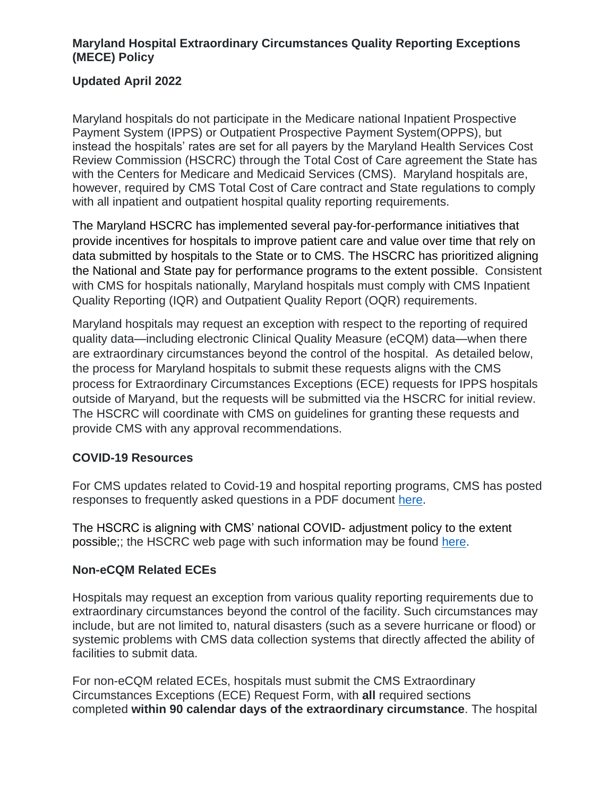### **Maryland Hospital Extraordinary Circumstances Quality Reporting Exceptions (MECE) Policy**

### **Updated April 2022**

Maryland hospitals do not participate in the Medicare national Inpatient Prospective Payment System (IPPS) or Outpatient Prospective Payment System(OPPS), but instead the hospitals' rates are set for all payers by the Maryland Health Services Cost Review Commission (HSCRC) through the Total Cost of Care agreement the State has with the Centers for Medicare and Medicaid Services (CMS). Maryland hospitals are, however, required by CMS Total Cost of Care contract and State regulations to comply with all inpatient and outpatient hospital quality reporting requirements.

The Maryland HSCRC has implemented several pay-for-performance initiatives that provide incentives for hospitals to improve patient care and value over time that rely on data submitted by hospitals to the State or to CMS. The HSCRC has prioritized aligning the National and State pay for performance programs to the extent possible. Consistent with CMS for hospitals nationally, Maryland hospitals must comply with CMS Inpatient Quality Reporting (IQR) and Outpatient Quality Report (OQR) requirements.

Maryland hospitals may request an exception with respect to the reporting of required quality data—including electronic Clinical Quality Measure (eCQM) data—when there are extraordinary circumstances beyond the control of the hospital. As detailed below, the process for Maryland hospitals to submit these requests aligns with the CMS process for Extraordinary Circumstances Exceptions (ECE) requests for IPPS hospitals outside of Maryand, but the requests will be submitted via the HSCRC for initial review. The HSCRC will coordinate with CMS on guidelines for granting these requests and provide CMS with any approval recommendations.

#### **COVID-19 Resources**

For CMS updates related to Covid-19 and hospital reporting programs, CMS has posted responses to frequently asked questions in a PDF document [here.](https://qualitynet.cms.gov/files/5f6d198d4ac8370021c54179?filename=HQR_FAQs_092420.pdf)

The HSCRC is aligning with CMS' national COVID- adjustment policy to the extent possible;; the HSCRC web page with such information may be found [here.](https://hscrc.maryland.gov/Pages/COVID-19.aspx)

#### **Non-eCQM Related ECEs**

Hospitals may request an exception from various quality reporting requirements due to extraordinary circumstances beyond the control of the facility. Such circumstances may include, but are not limited to, natural disasters (such as a severe hurricane or flood) or systemic problems with CMS data collection systems that directly affected the ability of facilities to submit data.

For non-eCQM related ECEs, hospitals must submit the CMS Extraordinary Circumstances Exceptions (ECE) Request Form, with **all** required sections completed **within 90 calendar days of the extraordinary circumstance**. The hospital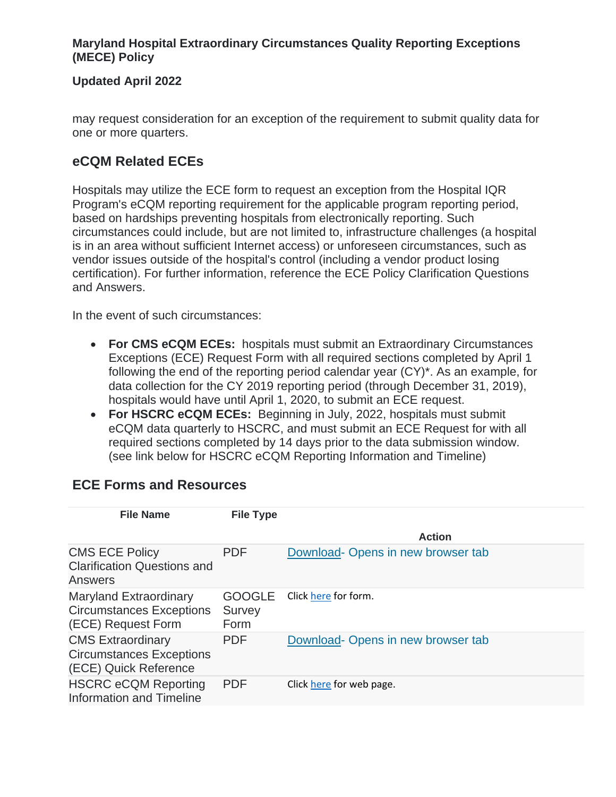### **Maryland Hospital Extraordinary Circumstances Quality Reporting Exceptions (MECE) Policy**

### **Updated April 2022**

may request consideration for an exception of the requirement to submit quality data for one or more quarters.

## **eCQM Related ECEs**

Hospitals may utilize the ECE form to request an exception from the Hospital IQR Program's eCQM reporting requirement for the applicable program reporting period, based on hardships preventing hospitals from electronically reporting. Such circumstances could include, but are not limited to, infrastructure challenges (a hospital is in an area without sufficient Internet access) or unforeseen circumstances, such as vendor issues outside of the hospital's control (including a vendor product losing certification). For further information, reference the ECE Policy Clarification Questions and Answers.

In the event of such circumstances:

- **For CMS eCQM ECEs:** hospitals must submit an Extraordinary Circumstances Exceptions (ECE) Request Form with all required sections completed by April 1 following the end of the reporting period calendar year (CY)\*. As an example, for data collection for the CY 2019 reporting period (through December 31, 2019), hospitals would have until April 1, 2020, to submit an ECE request.
- **For HSCRC eCQM ECEs:** Beginning in July, 2022, hospitals must submit eCQM data quarterly to HSCRC, and must submit an ECE Request for with all required sections completed by 14 days prior to the data submission window. (see link below for HSCRC eCQM Reporting Information and Timeline)

| <b>File Name</b>                                                                       | <b>File Type</b>                |                                   |
|----------------------------------------------------------------------------------------|---------------------------------|-----------------------------------|
|                                                                                        |                                 | <b>Action</b>                     |
| <b>CMS ECE Policy</b><br><b>Clarification Questions and</b><br>Answers                 | <b>PDF</b>                      | Download-Opens in new browser tab |
| <b>Maryland Extraordinary</b><br><b>Circumstances Exceptions</b><br>(ECE) Request Form | <b>GOOGLE</b><br>Survey<br>Form | Click here for form.              |
| <b>CMS Extraordinary</b><br><b>Circumstances Exceptions</b><br>(ECE) Quick Reference   | <b>PDF</b>                      | Download-Opens in new browser tab |
| <b>HSCRC eCQM Reporting</b><br>Information and Timeline                                | <b>PDF</b>                      | Click here for web page.          |

## **ECE Forms and Resources**